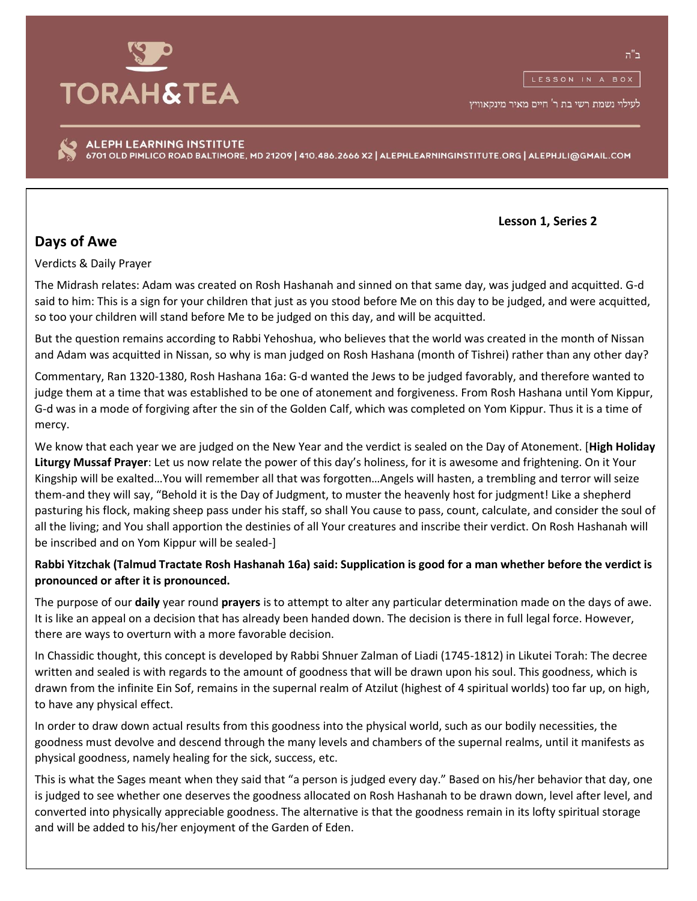

לעילוי נשמת רשי בת ר' חיים מאיר מינקאוויץ

ALEPH LEARNING INSTITUTE 6701 OLD PIMLICO ROAD BALTIMORE, MD 21209 | 410.486.2666 X2 | ALEPHLEARNINGINSTITUTE.ORG | ALEPHJLI@GMAIL.COM

 **Lesson 1, Series 2**

## **Days of Awe**

Verdicts & Daily Prayer

The Midrash relates: Adam was created on Rosh Hashanah and sinned on that same day, was judged and acquitted. G-d said to him: This is a sign for your children that just as you stood before Me on this day to be judged, and were acquitted, so too your children will stand before Me to be judged on this day, and will be acquitted.

But the question remains according to Rabbi Yehoshua, who believes that the world was created in the month of Nissan and Adam was acquitted in Nissan, so why is man judged on Rosh Hashana (month of Tishrei) rather than any other day?

Commentary, Ran 1320-1380, Rosh Hashana 16a: G-d wanted the Jews to be judged favorably, and therefore wanted to judge them at a time that was established to be one of atonement and forgiveness. From Rosh Hashana until Yom Kippur, G-d was in a mode of forgiving after the sin of the Golden Calf, which was completed on Yom Kippur. Thus it is a time of mercy.

We know that each year we are judged on the New Year and the verdict is sealed on the Day of Atonement. [**High Holiday Liturgy Mussaf Prayer**: Let us now relate the power of this day's holiness, for it is awesome and frightening. On it Your Kingship will be exalted…You will remember all that was forgotten…Angels will hasten, a trembling and terror will seize them-and they will say, "Behold it is the Day of Judgment, to muster the heavenly host for judgment! Like a shepherd pasturing his flock, making sheep pass under his staff, so shall You cause to pass, count, calculate, and consider the soul of all the living; and You shall apportion the destinies of all Your creatures and inscribe their verdict. On Rosh Hashanah will be inscribed and on Yom Kippur will be sealed-]

## **Rabbi Yitzchak (Talmud Tractate Rosh Hashanah 16a) said: Supplication is good for a man whether before the verdict is pronounced or after it is pronounced.**

The purpose of our **daily** year round **prayers** is to attempt to alter any particular determination made on the days of awe. It is like an appeal on a decision that has already been handed down. The decision is there in full legal force. However, there are ways to overturn with a more favorable decision.

In Chassidic thought, this concept is developed by Rabbi Shnuer Zalman of Liadi (1745-1812) in Likutei Torah: The decree written and sealed is with regards to the amount of goodness that will be drawn upon his soul. This goodness, which is drawn from the infinite Ein Sof, remains in the supernal realm of Atzilut (highest of 4 spiritual worlds) too far up, on high, to have any physical effect.

In order to draw down actual results from this goodness into the physical world, such as our bodily necessities, the goodness must devolve and descend through the many levels and chambers of the supernal realms, until it manifests as physical goodness, namely healing for the sick, success, etc.

This is what the Sages meant when they said that "a person is judged every day." Based on his/her behavior that day, one is judged to see whether one deserves the goodness allocated on Rosh Hashanah to be drawn down, level after level, and converted into physically appreciable goodness. The alternative is that the goodness remain in its lofty spiritual storage and will be added to his/her enjoyment of the Garden of Eden.

ב"ה